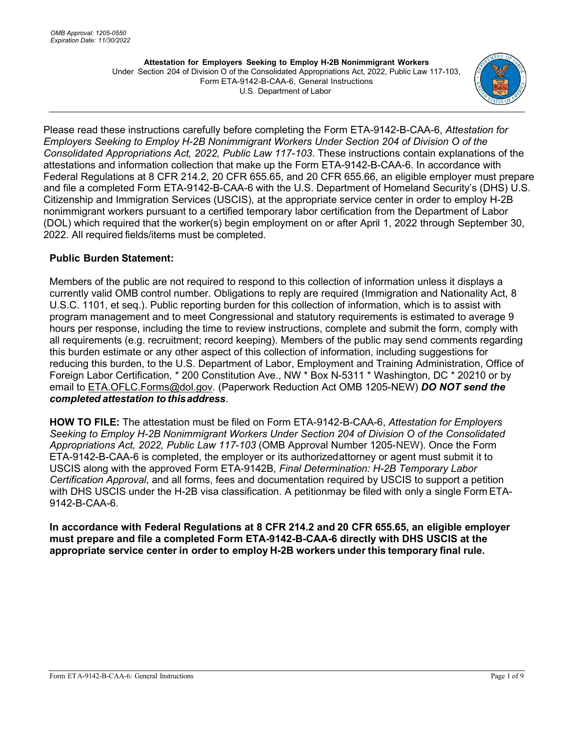

Please read these instructions carefully before completing the Form ETA-9142-B-CAA-6, *Attestation for Employers Seeking to Employ H-2B Nonimmigrant Workers Under Section 204 of Division O of the Consolidated Appropriations Act, 2022, Public Law 117-103*. These instructions contain explanations of the attestations and information collection that make up the Form ETA-9142-B-CAA-6. In accordance with Federal Regulations at 8 CFR 214.2, 20 CFR 655.65, and 20 CFR 655.66, an eligible employer must prepare and file a completed Form ETA-9142-B-CAA-6 with the U.S. Department of Homeland Security's (DHS) U.S. Citizenship and Immigration Services (USCIS), at the appropriate service center in order to employ H-2B nonimmigrant workers pursuant to a certified temporary labor certification from the Department of Labor (DOL) which required that the worker(s) begin employment on or after April 1, 2022 through September 30, 2022. All required fields/items must be completed.

## **Public Burden Statement:**

Members of the public are not required to respond to this collection of information unless it displays a currently valid OMB control number. Obligations to reply are required (Immigration and Nationality Act, 8 U.S.C. 1101, et seq.). Public reporting burden for this collection of information, which is to assist with program management and to meet Congressional and statutory requirements is estimated to average 9 hours per response, including the time to review instructions, complete and submit the form, comply with all requirements (e.g. recruitment; record keeping). Members of the public may send comments regarding this burden estimate or any other aspect of this collection of information, including suggestions for reducing this burden, to the U.S. Department of Labor, Employment and Training Administration, Office of Foreign Labor Certification, \* 200 Constitution Ave., NW \* Box N-5311 \* Washington, DC \* 20210 or by email to [ETA.OFLC.Forms@dol.gov.](mailto:ETA.OFLC.Forms@dol.gov) (Paperwork Reduction Act OMB 1205-NEW) *DO NOT send the completed attestation to thisaddress*.

**HOW TO FILE:** The attestation must be filed on Form ETA-9142-B-CAA-6, *Attestation for Employers Seeking to Employ H-2B Nonimmigrant Workers Under Section 204 of Division O of the Consolidated Appropriations Act, 2022, Public Law 117-103* (OMB Approval Number 1205-NEW). Once the Form ETA-9142-B-CAA-6 is completed, the employer or its authorized attorney or agent must submit it to USCIS along with the approved Form ETA-9142B, *Final Determination: H-2B Temporary Labor Certification Approval*, and all forms, fees and documentation required by USCIS to support a petition with DHS USCIS under the H-2B visa classification. A petitionmay be filed with only a single Form ETA-9142-B-CAA-6.

**In accordance with Federal Regulations at 8 CFR 214.2 and 20 CFR 655.65, an eligible employer must prepare and file a completed Form ETA-9142-B-CAA-6 directly with DHS USCIS at the appropriate service center in order to employ H-2B workers under this temporary final rule.**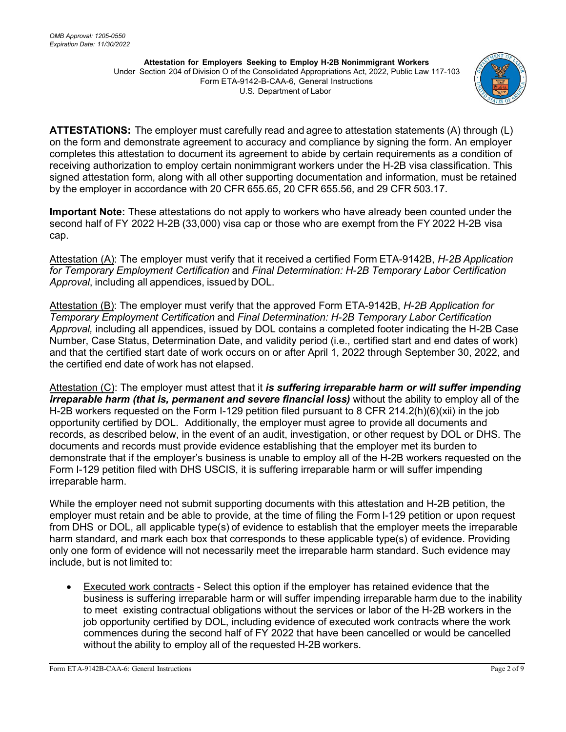

**ATTESTATIONS:** The employer must carefully read and agree to attestation statements (A) through (L) on the form and demonstrate agreement to accuracy and compliance by signing the form. An employer completes this attestation to document its agreement to abide by certain requirements as a condition of receiving authorization to employ certain nonimmigrant workers under the H-2B visa classification. This signed attestation form, along with all other supporting documentation and information, must be retained by the employer in accordance with 20 CFR 655.65, 20 CFR 655.56, and 29 CFR 503.17.

**Important Note:** These attestations do not apply to workers who have already been counted under the second half of FY 2022 H-2B (33,000) visa cap or those who are exempt from the FY 2022 H-2B visa cap.

Attestation (A): The employer must verify that it received a certified Form ETA-9142B, *H-2B Application for Temporary Employment Certification* and *Final Determination: H-2B Temporary Labor Certification Approval*, including all appendices, issued by DOL.

Attestation (B): The employer must verify that the approved Form ETA-9142B, *H-2B Application for Temporary Employment Certification* and *Final Determination: H-2B Temporary Labor Certification Approval,* including all appendices, issued by DOL contains a completed footer indicating the H-2B Case Number, Case Status, Determination Date, and validity period (i.e., certified start and end dates of work) and that the certified start date of work occurs on or after April 1, 2022 through September 30, 2022, and the certified end date of work has not elapsed.

Attestation (C): The employer must attest that it *is suffering irreparable harm or will suffer impending irreparable harm (that is, permanent and severe financial loss)* without the ability to employ all of the H-2B workers requested on the Form I-129 petition filed pursuant to 8 CFR 214.2(h)(6)(xii) in the job opportunity certified by DOL. Additionally, the employer must agree to provide all documents and records, as described below, in the event of an audit, investigation, or other request by DOL or DHS. The documents and records must provide evidence establishing that the employer met its burden to demonstrate that if the employer's business is unable to employ all of the H-2B workers requested on the Form I-129 petition filed with DHS USCIS, it is suffering irreparable harm or will suffer impending irreparable harm.

While the employer need not submit supporting documents with this attestation and H-2B petition, the employer must retain and be able to provide, at the time of filing the Form I-129 petition or upon request from DHS or DOL, all applicable type(s) of evidence to establish that the employer meets the irreparable harm standard, and mark each box that corresponds to these applicable type(s) of evidence. Providing only one form of evidence will not necessarily meet the irreparable harm standard. Such evidence may include, but is not limited to:

• Executed work contracts - Select this option if the employer has retained evidence that the business is suffering irreparable harm or will suffer impending irreparable harm due to the inability to meet existing contractual obligations without the services or labor of the H-2B workers in the job opportunity certified by DOL, including evidence of executed work contracts where the work commences during the second half of FY 2022 that have been cancelled or would be cancelled without the ability to employ all of the requested H-2B workers.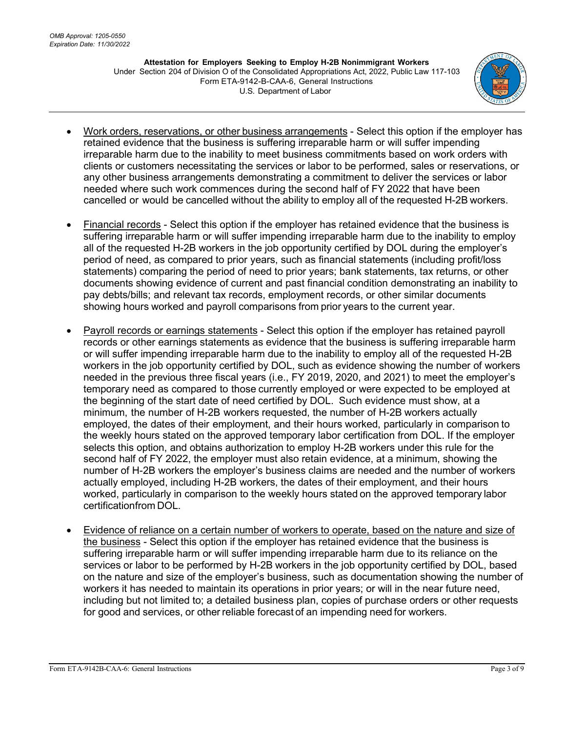

- Work orders, reservations, or other business arrangements Select this option if the employer has retained evidence that the business is suffering irreparable harm or will suffer impending irreparable harm due to the inability to meet business commitments based on work orders with clients or customers necessitating the services or labor to be performed, sales or reservations, or any other business arrangements demonstrating a commitment to deliver the services or labor needed where such work commences during the second half of FY 2022 that have been cancelled or would be cancelled without the ability to employ all of the requested H-2B workers.
- Financial records Select this option if the employer has retained evidence that the business is suffering irreparable harm or will suffer impending irreparable harm due to the inability to employ all of the requested H-2B workers in the job opportunity certified by DOL during the employer's period of need, as compared to prior years, such as financial statements (including profit/loss statements) comparing the period of need to prior years; bank statements, tax returns, or other documents showing evidence of current and past financial condition demonstrating an inability to pay debts/bills; and relevant tax records, employment records, or other similar documents showing hours worked and payroll comparisons from prior years to the current year.
- Payroll records or earnings statements Select this option if the employer has retained payroll records or other earnings statements as evidence that the business is suffering irreparable harm or will suffer impending irreparable harm due to the inability to employ all of the requested H-2B workers in the job opportunity certified by DOL, such as evidence showing the number of workers needed in the previous three fiscal years (i.e., FY 2019, 2020, and 2021) to meet the employer's temporary need as compared to those currently employed or were expected to be employed at the beginning of the start date of need certified by DOL. Such evidence must show, at a minimum, the number of H-2B workers requested, the number of H-2B workers actually employed, the dates of their employment, and their hours worked, particularly in comparison to the weekly hours stated on the approved temporary labor certification from DOL. If the employer selects this option, and obtains authorization to employ H-2B workers under this rule for the second half of FY 2022, the employer must also retain evidence, at a minimum, showing the number of H- 2B workers the employer's business claims are needed and the number of workers actually employed, including H-2B workers, the dates of their employment, and their hours worked, particularly in comparison to the weekly hours stated on the approved temporary labor certificationfrom DOL.
- Evidence of reliance on a certain number of workers to operate, based on the nature and size of the business - Select this option if the employer has retained evidence that the business is suffering irreparable harm or will suffer impending irreparable harm due to its reliance on the services or labor to be performed by H-2B workers in the job opportunity certified by DOL, based on the nature and size of the employer's business, such as documentation showing the number of workers it has needed to maintain its operations in prior years; or will in the near future need, including but not limited to; a detailed business plan, copies of purchase orders or other requests for good and services, or other reliable forecast of an impending need for workers.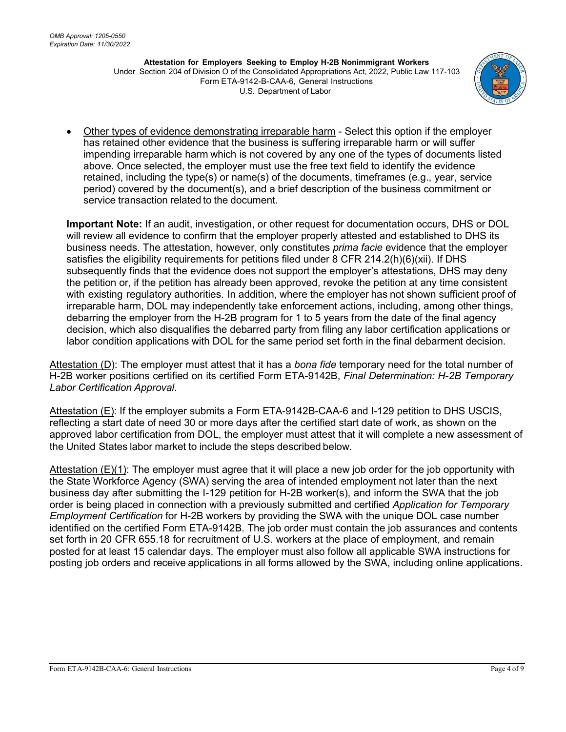

• Other types of evidence demonstrating irreparable harm - Select this option if the employer has retained other evidence that the business is suffering irreparable harm or will suffer impending irreparable harm which is not covered by any one of the types of documents listed above. Once selected, the employer must use the free text field to identify the evidence retained, including the type(s) or name(s) of the documents, timeframes (e.g., year, service period) covered by the document(s), and a brief description of the business commitment or service transaction related to the document.

**Important Note:** If an audit, investigation, or other request for documentation occurs, DHS or DOL will review all evidence to confirm that the employer properly attested and established to DHS its business needs. The attestation, however, only constitutes *prima facie* evidence that the employer satisfies the eligibility requirements for petitions filed under 8 CFR 214.2(h)(6)(xii). If DHS subsequently finds that the evidence does not support the employer's attestations, DHS may deny the petition or, if the petition has already been approved, revoke the petition at any time consistent with existing regulatory authorities. In addition, where the employer has not shown sufficient proof of irreparable harm, DOL may independently take enforcement actions, including, among other things, debarring the employer from the H-2B program for 1 to 5 years from the date of the final agency decision, which also disqualifies the debarred party from filing any labor certification applications or labor condition applications with DOL for the same period set forth in the final debarment decision.

Attestation (D): The employer must attest that it has a *bona fide* temporary need for the total number of H-2B worker positions certified on its certified Form ETA-9142B, *Final Determination: H-2B Temporary Labor Certification Approval*.

Attestation (E): If the employer submits a Form ETA-9142B-CAA-6 and I-129 petition to DHS USCIS, reflecting a start date of need 30 or more days after the certified start date of work, as shown on the approved labor certification from DOL, the employer must attest that it will complete a new assessment of the United States labor market to include the steps described below.

Attestation (E)(1): The employer must agree that it will place a new job order for the job opportunity with the State Workforce Agency (SWA) serving the area of intended employment not later than the next business day after submitting the I-129 petition for H-2B worker(s), and inform the SWA that the job order is being placed in connection with a previously submitted and certified *Application for Temporary Employment Certification* for H-2B workers by providing the SWA with the unique DOL case number identified on the certified Form ETA-9142B. The job order must contain the job assurances and contents set forth in 20 CFR 655.18 for recruitment of U.S. workers at the place of employment, and remain posted for at least 15 calendar days. The employer must also follow all applicable SWA instructions for posting job orders and receive applications in all forms allowed by the SWA, including online applications.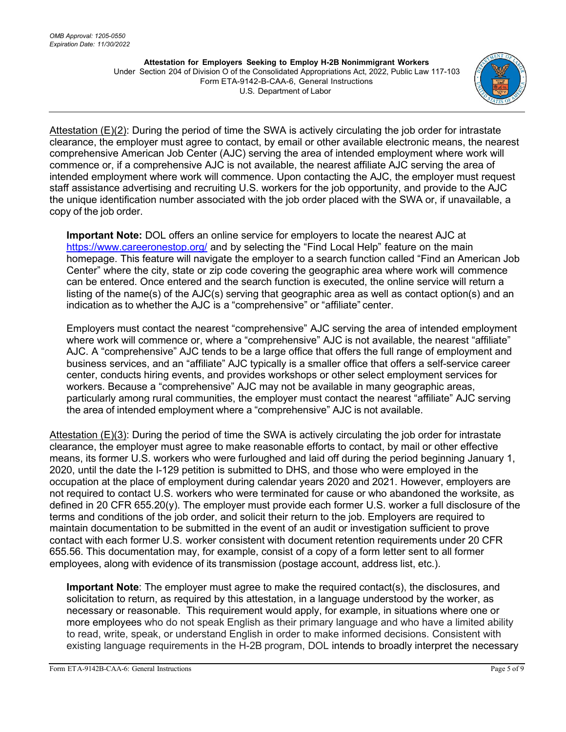

Attestation  $(E)(2)$ : During the period of time the SWA is actively circulating the job order for intrastate clearance, the employer must agree to contact, by email or other available electronic means, the nearest comprehensive American Job Center (AJC) serving the area of intended employment where work will commence or, if a comprehensive AJC is not available, the nearest affiliate AJC serving the area of intended employment where work will commence. Upon contacting the AJC, the employer must request staff assistance advertising and recruiting U.S. workers for the job opportunity, and provide to the AJC the unique identification number associated with the job order placed with the SWA or, if unavailable, a copy of the job order.

**Important Note:** DOL offers an online service for employers to locate the nearest AJC at <https://www.careeronestop.org/> and by selecting the "Find Local Help" feature on the main homepage. This feature will navigate the employer to a search function called "Find an American Job Center" where the city, state or zip code covering the geographic area where work will commence can be entered. Once entered and the search function is executed, the online service will return a listing of the name(s) of the AJC(s) serving that geographic area as well as contact option(s) and an indication as to whether the AJC is a "comprehensive" or "affiliate" center.

Employers must contact the nearest "comprehensive" AJC serving the area of intended employment where work will commence or, where a "comprehensive" AJC is not available, the nearest "affiliate" AJC. A "comprehensive" AJC tends to be a large office that offers the full range of employment and business services, and an "affiliate" AJC typically is a smaller office that offers a self-service career center, conducts hiring events, and provides workshops or other select employment services for workers. Because a "comprehensive" AJC may not be available in many geographic areas, particularly among rural communities, the employer must contact the nearest "affiliate" AJC serving the area of intended employment where a "comprehensive" AJC is not available.

Attestation (E)(3): During the period of time the SWA is actively circulating the job order for intrastate clearance, the employer must agree to make reasonable efforts to contact, by mail or other effective means, its former U.S. workers who were furloughed and laid off during the period beginning January 1, 2020, until the date the I-129 petition is submitted to DHS, and those who were employed in the occupation at the place of employment during calendar years 2020 and 2021. However, employers are not required to contact U.S. workers who were terminated for cause or who abandoned the worksite, as defined in 20 CFR 655.20(y). The employer must provide each former U.S. worker a full disclosure of the terms and conditions of the job order, and solicit their return to the job. Employers are required to maintain documentation to be submitted in the event of an audit or investigation sufficient to prove contact with each former U.S. worker consistent with document retention requirements under 20 CFR 655.56. This documentation may, for example, consist of a copy of a form letter sent to all former employees, along with evidence of its transmission (postage account, address list, etc.).

**Important Note**: The employer must agree to make the required contact(s), the disclosures, and solicitation to return, as required by this attestation, in a language understood by the worker, as necessary or reasonable. This requirement would apply, for example, in situations where one or more employees who do not speak English as their primary language and who have a limited ability to read, write, speak, or understand English in order to make informed decisions. Consistent with existing language requirements in the H-2B program, DOL intends to broadly interpret the necessary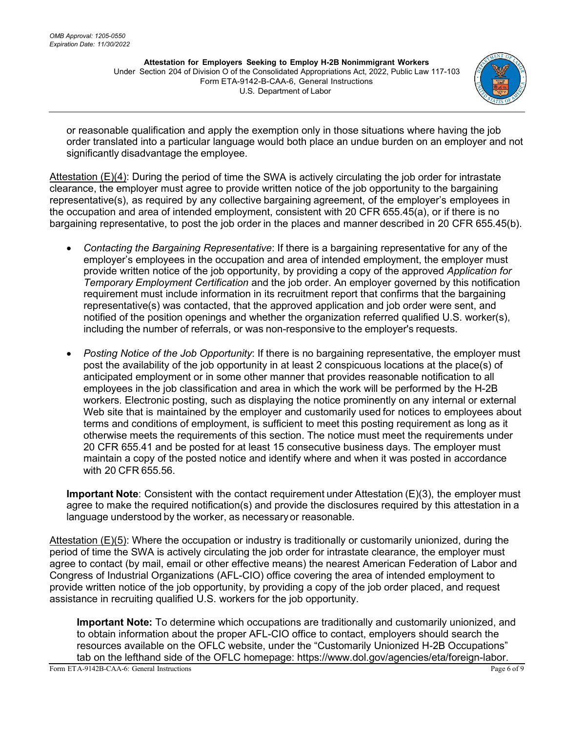

or reasonable qualification and apply the exemption only in those situations where having the job order translated into a particular language would both place an undue burden on an employer and not significantly disadvantage the employee.

Attestation (E)(4): During the period of time the SWA is actively circulating the job order for intrastate clearance, the employer must agree to provide written notice of the job opportunity to the bargaining representative(s), as required by any collective bargaining agreement, of the employer's employees in the occupation and area of intended employment, consistent with 20 CFR 655.45(a), or if there is no bargaining representative, to post the job order in the places and manner described in 20 CFR 655.45(b).

- *Contacting the Bargaining Representative*: If there is a bargaining representative for any of the employer's employees in the occupation and area of intended employment, the employer must provide written notice of the job opportunity, by providing a copy of the approved *Application for Temporary Employment Certification* and the job order. An employer governed by this notification requirement must include information in its recruitment report that confirms that the bargaining representative(s) was contacted, that the approved application and job order were sent, and notified of the position openings and whether the organization referred qualified U.S. worker(s), including the number of referrals, or was non-responsive to the employer's requests.
- *Posting Notice of the Job Opportunity*: If there is no bargaining representative, the employer must post the availability of the job opportunity in at least 2 conspicuous locations at the place(s) of anticipated employment or in some other manner that provides reasonable notification to all employees in the job classification and area in which the work will be performed by the H-2B workers. Electronic posting, such as displaying the notice prominently on any internal or external Web site that is maintained by the employer and customarily used for notices to employees about terms and conditions of employment, is sufficient to meet this posting requirement as long as it otherwise meets the requirements of this section. The notice must meet the requirements under 20 CFR 655.41 and be posted for at least 15 consecutive business days. The employer must maintain a copy of the posted notice and identify where and when it was posted in accordance with 20 CFR 655.56.

**Important Note**: Consistent with the contact requirement under Attestation (E)(3), the employer must agree to make the required notification(s) and provide the disclosures required by this attestation in a language understood by the worker, as necessary or reasonable.

Attestation (E)(5): Where the occupation or industry is traditionally or customarily unionized, during the period of time the SWA is actively circulating the job order for intrastate clearance, the employer must agree to contact (by mail, email or other effective means) the nearest American Federation of Labor and Congress of Industrial Organizations (AFL-CIO) office covering the area of intended employment to provide written notice of the job opportunity, by providing a copy of the job order placed, and request assistance in recruiting qualified U.S. workers for the job opportunity.

**Important Note:** To determine which occupations are traditionally and customarily unionized, and to obtain information about the proper AFL-CIO office to contact, employers should search the resources available on the OFLC website, under the "Customarily Unionized H-2B Occupations" tab on the lefthand side of the OFLC homepage: https://www.dol.gov/agencies/eta/foreign-labor.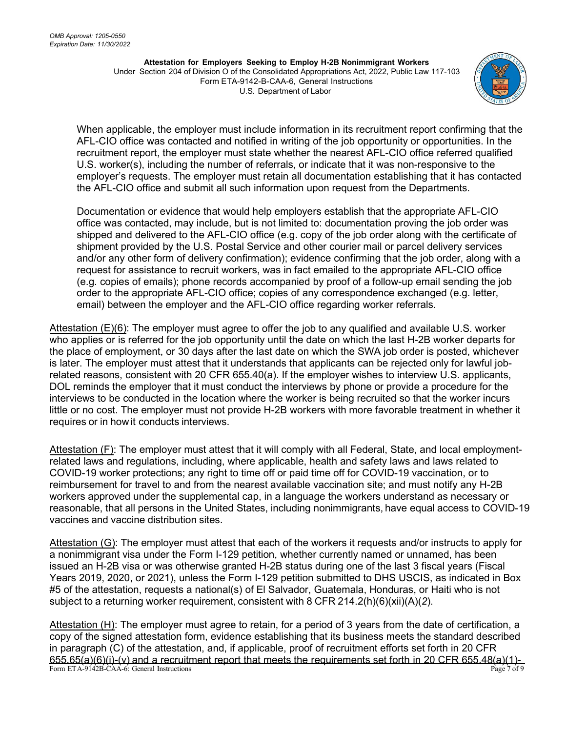

When applicable, the employer must include information in its recruitment report confirming that the AFL-CIO office was contacted and notified in writing of the job opportunity or opportunities. In the recruitment report, the employer must state whether the nearest AFL-CIO office referred qualified U.S. worker(s), including the number of referrals, or indicate that it was non-responsive to the employer's requests. The employer must retain all documentation establishing that it has contacted the AFL-CIO office and submit all such information upon request from the Departments.

Documentation or evidence that would help employers establish that the appropriate AFL-CIO office was contacted, may include, but is not limited to: documentation proving the job order was shipped and delivered to the AFL-CIO office (e.g. copy of the job order along with the certificate of shipment provided by the U.S. Postal Service and other courier mail or parcel delivery services and/or any other form of delivery confirmation); evidence confirming that the job order, along with a request for assistance to recruit workers, was in fact emailed to the appropriate AFL-CIO office (e.g. copies of emails); phone records accompanied by proof of a follow-up email sending the job order to the appropriate AFL-CIO office; copies of any correspondence exchanged (e.g. letter, email) between the employer and the AFL-CIO office regarding worker referrals.

Attestation (E)(6): The employer must agree to offer the job to any qualified and available U.S. worker who applies or is referred for the job opportunity until the date on which the last H-2B worker departs for the place of employment, or 30 days after the last date on which the SWA job order is posted, whichever is later. The employer must attest that it understands that applicants can be rejected only for lawful jobrelated reasons, consistent with 20 CFR 655.40(a). If the employer wishes to interview U.S. applicants, DOL reminds the employer that it must conduct the interviews by phone or provide a procedure for the interviews to be conducted in the location where the worker is being recruited so that the worker incurs little or no cost. The employer must not provide H-2B workers with more favorable treatment in whether it requires or in howit conducts interviews.

Attestation (F): The employer must attest that it will comply with all Federal, State, and local employmentrelated laws and regulations, including, where applicable, health and safety laws and laws related to COVID-19 worker protections; any right to time off or paid time off for COVID-19 vaccination, or to reimbursement for travel to and from the nearest available vaccination site; and must notify any H-2B workers approved under the supplemental cap, in a language the workers understand as necessary or reasonable, that all persons in the United States, including nonimmigrants, have equal access to COVID-19 vaccines and vaccine distribution sites.

Attestation (G): The employer must attest that each of the workers it requests and/or instructs to apply for a nonimmigrant visa under the Form I-129 petition, whether currently named or unnamed, has been issued an H-2B visa or was otherwise granted H-2B status during one of the last 3 fiscal years (Fiscal Years 2019, 2020, or 2021), unless the Form I-129 petition submitted to DHS USCIS, as indicated in Box #5 of the attestation, requests a national(s) of El Salvador, Guatemala, Honduras, or Haiti who is not subject to a returning worker requirement, consistent with 8 CFR 214.2(h)(6)(xii)(A)(*2*).

Form ETA-9142B-CAA-6: General Instructions **Page 7** of 9 Attestation (H): The employer must agree to retain, for a period of 3 years from the date of certification, a copy of the signed attestation form, evidence establishing that its business meets the standard described in paragraph (C) of the attestation, and, if applicable, proof of recruitment efforts set forth in 20 CFR  $655.65(a)(6)(i)-(v)$  and a recruitment report that meets the requirements set forth in 20 CFR 655.48(a)(1)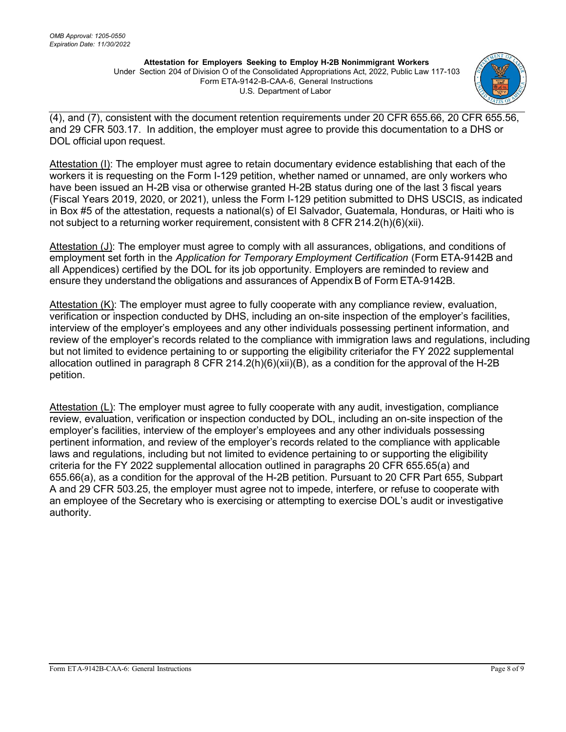

(4), and (7), consistent with the document retention requirements under 20 CFR 655.66, 20 CFR 655.56, and 29 CFR 503.17. In addition, the employer must agree to provide this documentation to a DHS or DOL official upon request.

Attestation (I): The employer must agree to retain documentary evidence establishing that each of the workers it is requesting on the Form I-129 petition, whether named or unnamed, are only workers who have been issued an H-2B visa or otherwise granted H-2B status during one of the last 3 fiscal years (Fiscal Years 2019, 2020, or 2021), unless the Form I-129 petition submitted to DHS USCIS, as indicated in Box #5 of the attestation, requests a national(s) of El Salvador, Guatemala, Honduras, or Haiti who is not subject to a returning worker requirement, consistent with 8 CFR 214.2(h)(6)(xii).

Attestation (J): The employer must agree to comply with all assurances, obligations, and conditions of employment set forth in the *Application for Temporary Employment Certification* (Form ETA-9142B and all Appendices) certified by the DOL for its job opportunity. Employers are reminded to review and ensure they understand the obligations and assurances of Appendix B of Form ETA-9142B.

Attestation  $(K)$ : The employer must agree to fully cooperate with any compliance review, evaluation, verification or inspection conducted by DHS, including an on-site inspection of the employer's facilities, interview of the employer's employees and any other individuals possessing pertinent information, and review of the employer's records related to the compliance with immigration laws and regulations, including but not limited to evidence pertaining to or supporting the eligibility criteriafor the FY 2022 supplemental allocation outlined in paragraph 8 CFR 214.2(h)(6)(xii)(B), as a condition for the approval of the H-2B petition.

Attestation (L): The employer must agree to fully cooperate with any audit, investigation, compliance review, evaluation, verification or inspection conducted by DOL, including an on-site inspection of the employer's facilities, interview of the employer's employees and any other individuals possessing pertinent information, and review of the employer's records related to the compliance with applicable laws and regulations, including but not limited to evidence pertaining to or supporting the eligibility criteria for the FY 2022 supplemental allocation outlined in paragraphs 20 CFR 655.65(a) and 655.66(a), as a condition for the approval of the H-2B petition. Pursuant to 20 CFR Part 655, Subpart A and 29 CFR 503.25, the employer must agree not to impede, interfere, or refuse to cooperate with an employee of the Secretary who is exercising or attempting to exercise DOL's audit or investigative authority.